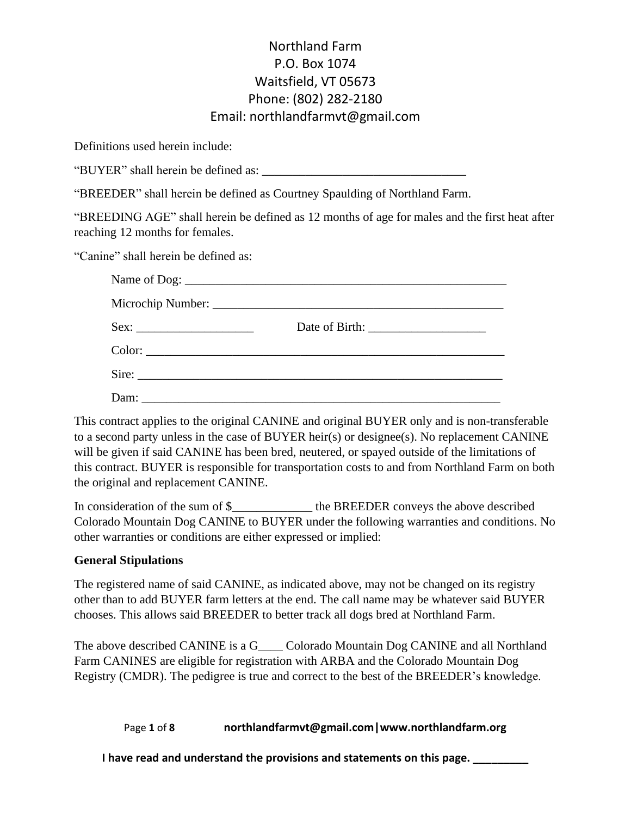Definitions used herein include:

"BUYER" shall herein be defined as:

"BREEDER" shall herein be defined as Courtney Spaulding of Northland Farm.

"BREEDING AGE" shall herein be defined as 12 months of age for males and the first heat after reaching 12 months for females.

"Canine" shall herein be defined as:

This contract applies to the original CANINE and original BUYER only and is non-transferable to a second party unless in the case of BUYER heir(s) or designee(s). No replacement CANINE will be given if said CANINE has been bred, neutered, or spayed outside of the limitations of this contract. BUYER is responsible for transportation costs to and from Northland Farm on both the original and replacement CANINE.

In consideration of the sum of \$\_\_\_\_\_\_\_\_\_\_\_\_\_ the BREEDER conveys the above described Colorado Mountain Dog CANINE to BUYER under the following warranties and conditions. No other warranties or conditions are either expressed or implied:

### **General Stipulations**

The registered name of said CANINE, as indicated above, may not be changed on its registry other than to add BUYER farm letters at the end. The call name may be whatever said BUYER chooses. This allows said BREEDER to better track all dogs bred at Northland Farm.

The above described CANINE is a G\_\_\_\_ Colorado Mountain Dog CANINE and all Northland Farm CANINES are eligible for registration with ARBA and the Colorado Mountain Dog Registry (CMDR). The pedigree is true and correct to the best of the BREEDER's knowledge.

Page **1** of **8 northlandfarmvt@gmail.com|www.northlandfarm.org**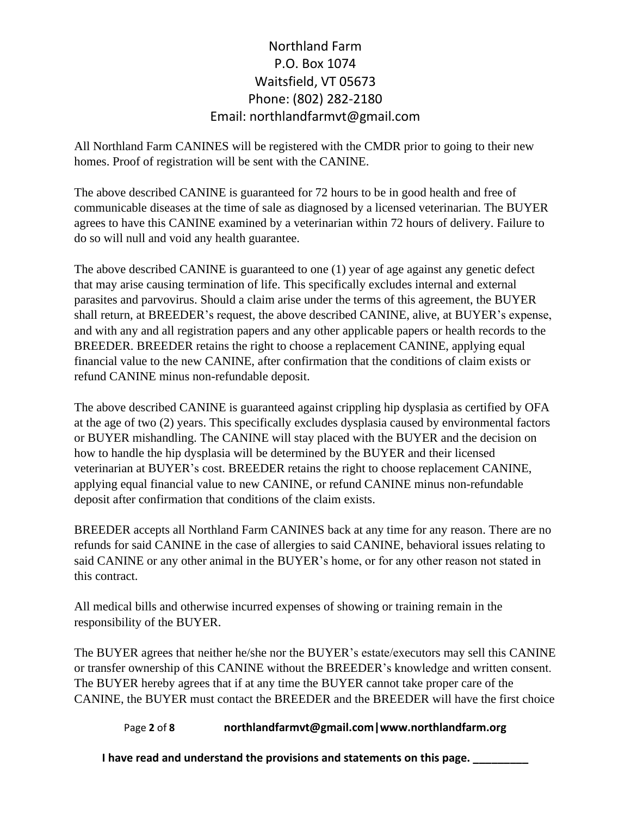All Northland Farm CANINES will be registered with the CMDR prior to going to their new homes. Proof of registration will be sent with the CANINE.

The above described CANINE is guaranteed for 72 hours to be in good health and free of communicable diseases at the time of sale as diagnosed by a licensed veterinarian. The BUYER agrees to have this CANINE examined by a veterinarian within 72 hours of delivery. Failure to do so will null and void any health guarantee.

The above described CANINE is guaranteed to one (1) year of age against any genetic defect that may arise causing termination of life. This specifically excludes internal and external parasites and parvovirus. Should a claim arise under the terms of this agreement, the BUYER shall return, at BREEDER's request, the above described CANINE, alive, at BUYER's expense, and with any and all registration papers and any other applicable papers or health records to the BREEDER. BREEDER retains the right to choose a replacement CANINE, applying equal financial value to the new CANINE, after confirmation that the conditions of claim exists or refund CANINE minus non-refundable deposit.

The above described CANINE is guaranteed against crippling hip dysplasia as certified by OFA at the age of two (2) years. This specifically excludes dysplasia caused by environmental factors or BUYER mishandling. The CANINE will stay placed with the BUYER and the decision on how to handle the hip dysplasia will be determined by the BUYER and their licensed veterinarian at BUYER's cost. BREEDER retains the right to choose replacement CANINE, applying equal financial value to new CANINE, or refund CANINE minus non-refundable deposit after confirmation that conditions of the claim exists.

BREEDER accepts all Northland Farm CANINES back at any time for any reason. There are no refunds for said CANINE in the case of allergies to said CANINE, behavioral issues relating to said CANINE or any other animal in the BUYER's home, or for any other reason not stated in this contract.

All medical bills and otherwise incurred expenses of showing or training remain in the responsibility of the BUYER.

The BUYER agrees that neither he/she nor the BUYER's estate/executors may sell this CANINE or transfer ownership of this CANINE without the BREEDER's knowledge and written consent. The BUYER hereby agrees that if at any time the BUYER cannot take proper care of the CANINE, the BUYER must contact the BREEDER and the BREEDER will have the first choice

### Page **2** of **8 northlandfarmvt@gmail.com|www.northlandfarm.org**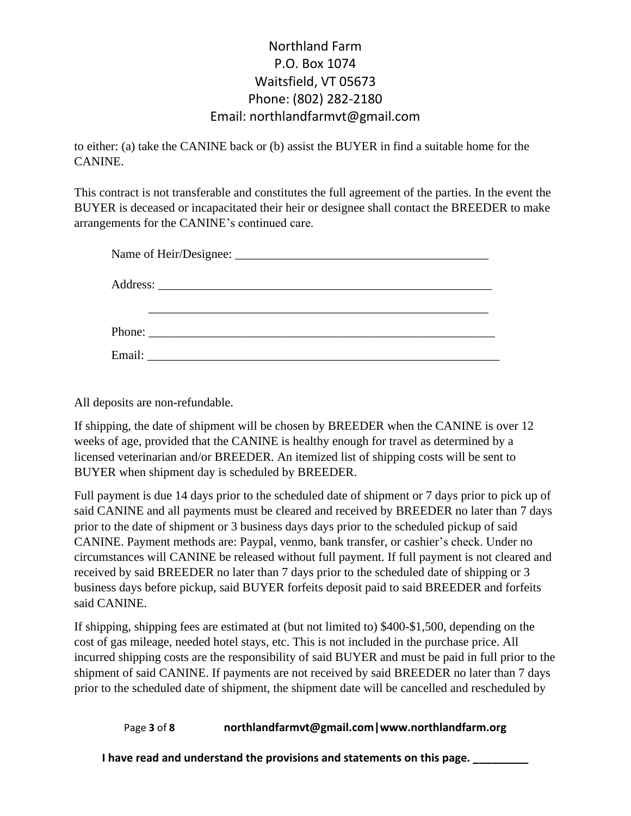to either: (a) take the CANINE back or (b) assist the BUYER in find a suitable home for the CANINE.

This contract is not transferable and constitutes the full agreement of the parties. In the event the BUYER is deceased or incapacitated their heir or designee shall contact the BREEDER to make arrangements for the CANINE's continued care.

All deposits are non-refundable.

If shipping, the date of shipment will be chosen by BREEDER when the CANINE is over 12 weeks of age, provided that the CANINE is healthy enough for travel as determined by a licensed veterinarian and/or BREEDER. An itemized list of shipping costs will be sent to BUYER when shipment day is scheduled by BREEDER.

Full payment is due 14 days prior to the scheduled date of shipment or 7 days prior to pick up of said CANINE and all payments must be cleared and received by BREEDER no later than 7 days prior to the date of shipment or 3 business days days prior to the scheduled pickup of said CANINE. Payment methods are: Paypal, venmo, bank transfer, or cashier's check. Under no circumstances will CANINE be released without full payment. If full payment is not cleared and received by said BREEDER no later than 7 days prior to the scheduled date of shipping or 3 business days before pickup, said BUYER forfeits deposit paid to said BREEDER and forfeits said CANINE.

If shipping, shipping fees are estimated at (but not limited to) \$400-\$1,500, depending on the cost of gas mileage, needed hotel stays, etc. This is not included in the purchase price. All incurred shipping costs are the responsibility of said BUYER and must be paid in full prior to the shipment of said CANINE. If payments are not received by said BREEDER no later than 7 days prior to the scheduled date of shipment, the shipment date will be cancelled and rescheduled by

### Page **3** of **8 northlandfarmvt@gmail.com|www.northlandfarm.org**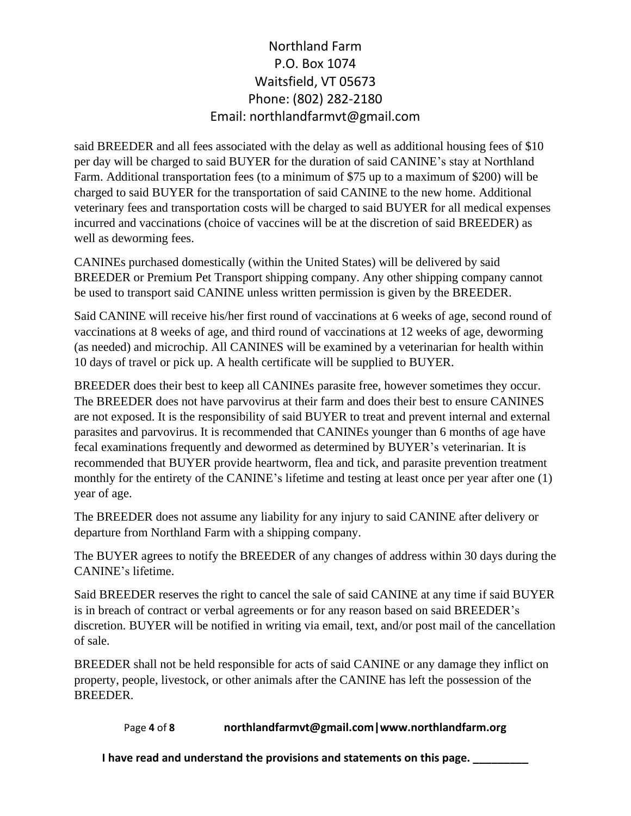said BREEDER and all fees associated with the delay as well as additional housing fees of \$10 per day will be charged to said BUYER for the duration of said CANINE's stay at Northland Farm. Additional transportation fees (to a minimum of \$75 up to a maximum of \$200) will be charged to said BUYER for the transportation of said CANINE to the new home. Additional veterinary fees and transportation costs will be charged to said BUYER for all medical expenses incurred and vaccinations (choice of vaccines will be at the discretion of said BREEDER) as well as deworming fees.

CANINEs purchased domestically (within the United States) will be delivered by said BREEDER or Premium Pet Transport shipping company. Any other shipping company cannot be used to transport said CANINE unless written permission is given by the BREEDER.

Said CANINE will receive his/her first round of vaccinations at 6 weeks of age, second round of vaccinations at 8 weeks of age, and third round of vaccinations at 12 weeks of age, deworming (as needed) and microchip. All CANINES will be examined by a veterinarian for health within 10 days of travel or pick up. A health certificate will be supplied to BUYER.

BREEDER does their best to keep all CANINEs parasite free, however sometimes they occur. The BREEDER does not have parvovirus at their farm and does their best to ensure CANINES are not exposed. It is the responsibility of said BUYER to treat and prevent internal and external parasites and parvovirus. It is recommended that CANINEs younger than 6 months of age have fecal examinations frequently and dewormed as determined by BUYER's veterinarian. It is recommended that BUYER provide heartworm, flea and tick, and parasite prevention treatment monthly for the entirety of the CANINE's lifetime and testing at least once per year after one (1) year of age.

The BREEDER does not assume any liability for any injury to said CANINE after delivery or departure from Northland Farm with a shipping company.

The BUYER agrees to notify the BREEDER of any changes of address within 30 days during the CANINE's lifetime.

Said BREEDER reserves the right to cancel the sale of said CANINE at any time if said BUYER is in breach of contract or verbal agreements or for any reason based on said BREEDER's discretion. BUYER will be notified in writing via email, text, and/or post mail of the cancellation of sale.

BREEDER shall not be held responsible for acts of said CANINE or any damage they inflict on property, people, livestock, or other animals after the CANINE has left the possession of the BREEDER.

## Page **4** of **8 northlandfarmvt@gmail.com|www.northlandfarm.org**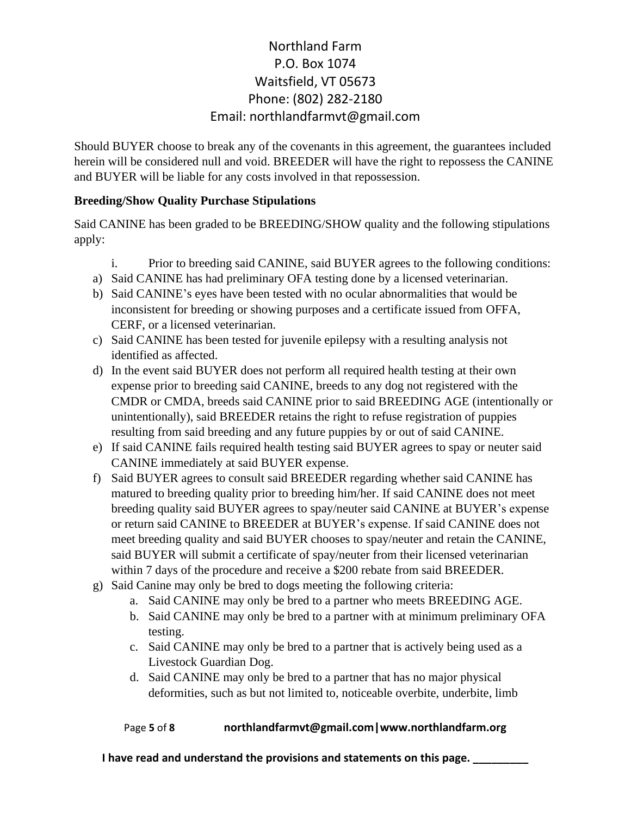Should BUYER choose to break any of the covenants in this agreement, the guarantees included herein will be considered null and void. BREEDER will have the right to repossess the CANINE and BUYER will be liable for any costs involved in that repossession.

### **Breeding/Show Quality Purchase Stipulations**

Said CANINE has been graded to be BREEDING/SHOW quality and the following stipulations apply:

- i. Prior to breeding said CANINE, said BUYER agrees to the following conditions:
- a) Said CANINE has had preliminary OFA testing done by a licensed veterinarian.
- b) Said CANINE's eyes have been tested with no ocular abnormalities that would be inconsistent for breeding or showing purposes and a certificate issued from OFFA, CERF, or a licensed veterinarian.
- c) Said CANINE has been tested for juvenile epilepsy with a resulting analysis not identified as affected.
- d) In the event said BUYER does not perform all required health testing at their own expense prior to breeding said CANINE, breeds to any dog not registered with the CMDR or CMDA, breeds said CANINE prior to said BREEDING AGE (intentionally or unintentionally), said BREEDER retains the right to refuse registration of puppies resulting from said breeding and any future puppies by or out of said CANINE.
- e) If said CANINE fails required health testing said BUYER agrees to spay or neuter said CANINE immediately at said BUYER expense.
- f) Said BUYER agrees to consult said BREEDER regarding whether said CANINE has matured to breeding quality prior to breeding him/her. If said CANINE does not meet breeding quality said BUYER agrees to spay/neuter said CANINE at BUYER's expense or return said CANINE to BREEDER at BUYER's expense. If said CANINE does not meet breeding quality and said BUYER chooses to spay/neuter and retain the CANINE, said BUYER will submit a certificate of spay/neuter from their licensed veterinarian within 7 days of the procedure and receive a \$200 rebate from said BREEDER.
- g) Said Canine may only be bred to dogs meeting the following criteria:
	- a. Said CANINE may only be bred to a partner who meets BREEDING AGE.
	- b. Said CANINE may only be bred to a partner with at minimum preliminary OFA testing.
	- c. Said CANINE may only be bred to a partner that is actively being used as a Livestock Guardian Dog.
	- d. Said CANINE may only be bred to a partner that has no major physical deformities, such as but not limited to, noticeable overbite, underbite, limb

### Page **5** of **8 northlandfarmvt@gmail.com|www.northlandfarm.org**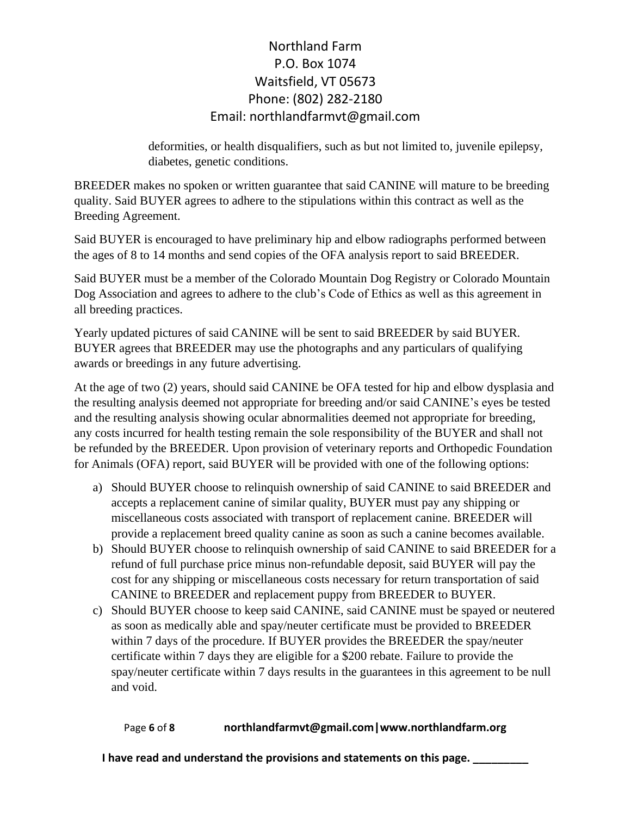deformities, or health disqualifiers, such as but not limited to, juvenile epilepsy, diabetes, genetic conditions.

BREEDER makes no spoken or written guarantee that said CANINE will mature to be breeding quality. Said BUYER agrees to adhere to the stipulations within this contract as well as the Breeding Agreement.

Said BUYER is encouraged to have preliminary hip and elbow radiographs performed between the ages of 8 to 14 months and send copies of the OFA analysis report to said BREEDER.

Said BUYER must be a member of the Colorado Mountain Dog Registry or Colorado Mountain Dog Association and agrees to adhere to the club's Code of Ethics as well as this agreement in all breeding practices.

Yearly updated pictures of said CANINE will be sent to said BREEDER by said BUYER. BUYER agrees that BREEDER may use the photographs and any particulars of qualifying awards or breedings in any future advertising.

At the age of two (2) years, should said CANINE be OFA tested for hip and elbow dysplasia and the resulting analysis deemed not appropriate for breeding and/or said CANINE's eyes be tested and the resulting analysis showing ocular abnormalities deemed not appropriate for breeding, any costs incurred for health testing remain the sole responsibility of the BUYER and shall not be refunded by the BREEDER. Upon provision of veterinary reports and Orthopedic Foundation for Animals (OFA) report, said BUYER will be provided with one of the following options:

- a) Should BUYER choose to relinquish ownership of said CANINE to said BREEDER and accepts a replacement canine of similar quality, BUYER must pay any shipping or miscellaneous costs associated with transport of replacement canine. BREEDER will provide a replacement breed quality canine as soon as such a canine becomes available.
- b) Should BUYER choose to relinquish ownership of said CANINE to said BREEDER for a refund of full purchase price minus non-refundable deposit, said BUYER will pay the cost for any shipping or miscellaneous costs necessary for return transportation of said CANINE to BREEDER and replacement puppy from BREEDER to BUYER.
- c) Should BUYER choose to keep said CANINE, said CANINE must be spayed or neutered as soon as medically able and spay/neuter certificate must be provided to BREEDER within 7 days of the procedure. If BUYER provides the BREEDER the spay/neuter certificate within 7 days they are eligible for a \$200 rebate. Failure to provide the spay/neuter certificate within 7 days results in the guarantees in this agreement to be null and void.

## Page **6** of **8 northlandfarmvt@gmail.com|www.northlandfarm.org**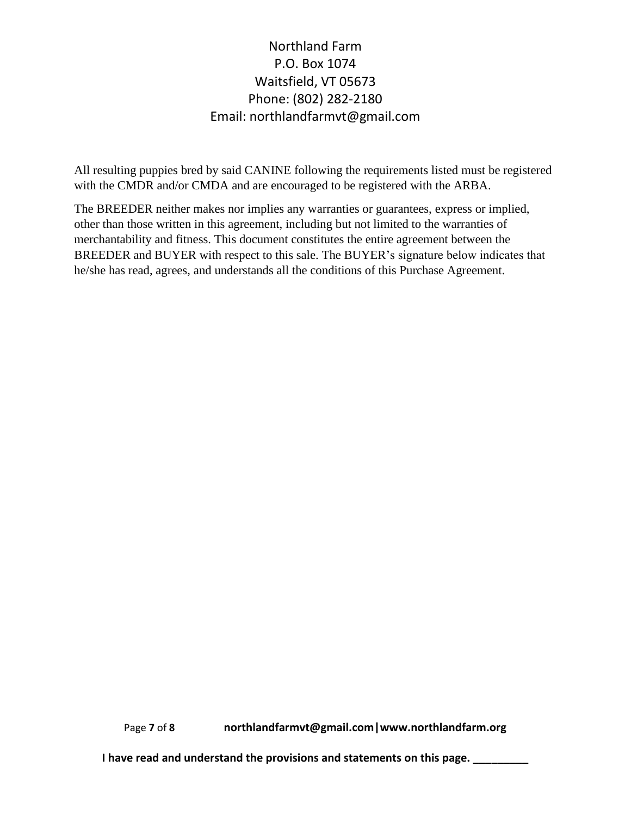All resulting puppies bred by said CANINE following the requirements listed must be registered with the CMDR and/or CMDA and are encouraged to be registered with the ARBA.

The BREEDER neither makes nor implies any warranties or guarantees, express or implied, other than those written in this agreement, including but not limited to the warranties of merchantability and fitness. This document constitutes the entire agreement between the BREEDER and BUYER with respect to this sale. The BUYER's signature below indicates that he/she has read, agrees, and understands all the conditions of this Purchase Agreement.

Page **7** of **8 northlandfarmvt@gmail.com|www.northlandfarm.org**